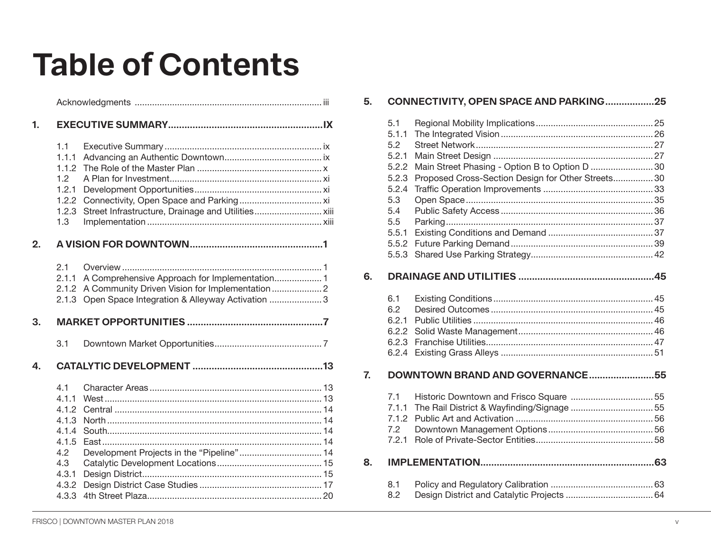## **Table of Contents**

| 1. |                                                                                           |                                                                                                  |  |
|----|-------------------------------------------------------------------------------------------|--------------------------------------------------------------------------------------------------|--|
|    | 1.1<br>1.1.1<br>1.1.2<br>1.2<br>1.2.1<br>1.2.2<br>1.2.3<br>1.3                            |                                                                                                  |  |
| 2. |                                                                                           |                                                                                                  |  |
|    | 2.1<br>2.1.1<br>2.1.2<br>2.1.3                                                            | A Comprehensive Approach for Implementation 1<br>Open Space Integration & Alleyway Activation  3 |  |
| 3. |                                                                                           |                                                                                                  |  |
|    | 3.1                                                                                       |                                                                                                  |  |
| 4. |                                                                                           |                                                                                                  |  |
|    | 4.1<br>4.1.1<br>4.1.2<br>4.1.3<br>4.1.4<br>4.1.5<br>4.2<br>4.3<br>4.3.1<br>4.3.2<br>4.3.3 | Development Projects in the "Pipeline" 14                                                        |  |

| 5.             |                                                                                                         | CONNECTIVITY, OPEN SPACE AND PARKING25                                                               |  |
|----------------|---------------------------------------------------------------------------------------------------------|------------------------------------------------------------------------------------------------------|--|
|                | 5.1<br>5.1.1<br>5.2<br>5.2.1<br>5.2.2<br>5.2.3<br>5.2.4<br>5.3<br>5.4<br>5.5<br>5.5.1<br>5.5.2<br>5.5.3 | Main Street Phasing - Option B to Option D  30<br>Proposed Cross-Section Design for Other Streets 30 |  |
| 6.             |                                                                                                         |                                                                                                      |  |
|                | 6.1<br>6.2<br>6.2.1<br>6.2.2<br>6.2.4                                                                   |                                                                                                      |  |
| $\overline{1}$ |                                                                                                         | DOWNTOWN BRAND AND GOVERNANCE55                                                                      |  |
|                | 7.1<br>7.1.1<br>7.1.2<br>7.2<br>7.2.1                                                                   |                                                                                                      |  |
| 8.             |                                                                                                         |                                                                                                      |  |
|                | 8.1<br>8.2                                                                                              |                                                                                                      |  |
|                |                                                                                                         |                                                                                                      |  |